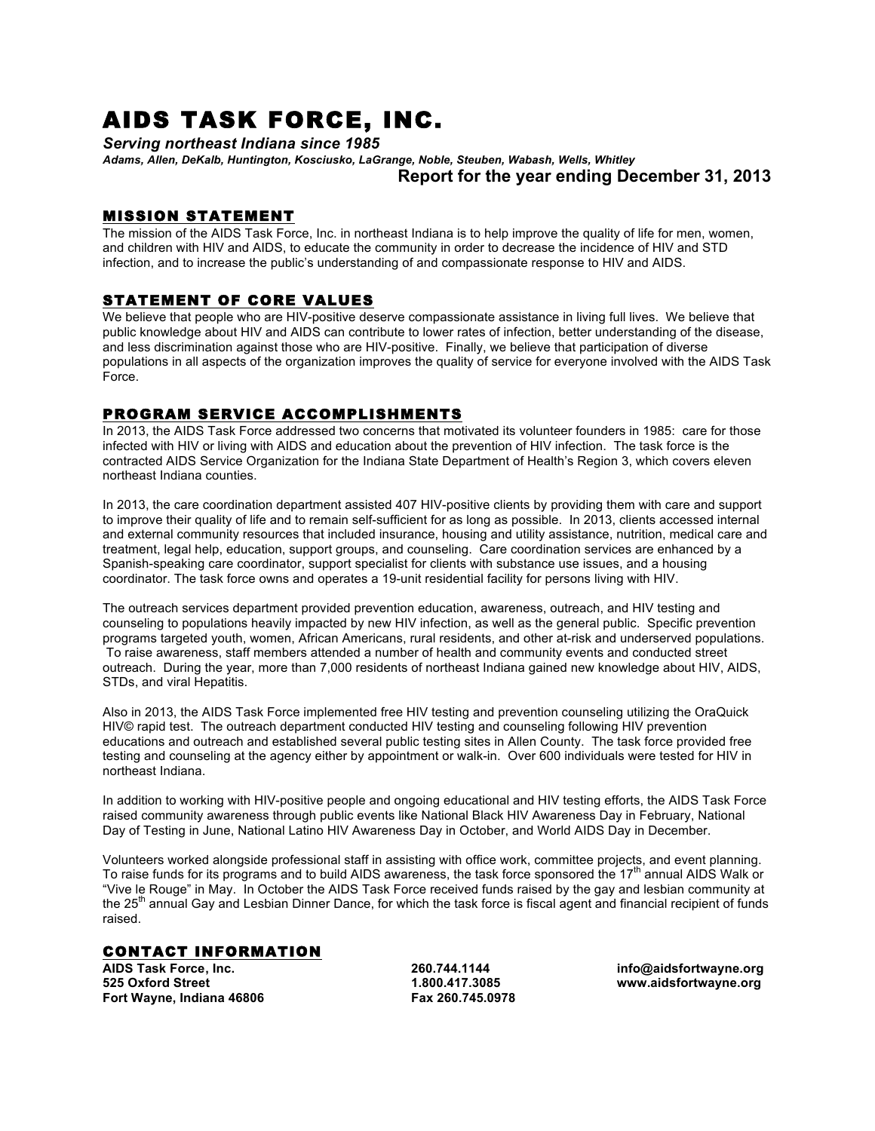# AIDS TASK FORCE, INC.

*Serving northeast Indiana since 1985*

*Adams, Allen, DeKalb, Huntington, Kosciusko, LaGrange, Noble, Steuben, Wabash, Wells, Whitley* **Report for the year ending December 31, 2013**

### MISSION STATEMENT

The mission of the AIDS Task Force, Inc. in northeast Indiana is to help improve the quality of life for men, women, and children with HIV and AIDS, to educate the community in order to decrease the incidence of HIV and STD infection, and to increase the public's understanding of and compassionate response to HIV and AIDS.

#### STATEMENT OF CORE VALUES

We believe that people who are HIV-positive deserve compassionate assistance in living full lives. We believe that public knowledge about HIV and AIDS can contribute to lower rates of infection, better understanding of the disease, and less discrimination against those who are HIV-positive. Finally, we believe that participation of diverse populations in all aspects of the organization improves the quality of service for everyone involved with the AIDS Task Force.

# PROGRAM SERVICE ACCOMPLISHMENTS

In 2013, the AIDS Task Force addressed two concerns that motivated its volunteer founders in 1985: care for those infected with HIV or living with AIDS and education about the prevention of HIV infection. The task force is the contracted AIDS Service Organization for the Indiana State Department of Health's Region 3, which covers eleven northeast Indiana counties.

In 2013, the care coordination department assisted 407 HIV-positive clients by providing them with care and support to improve their quality of life and to remain self-sufficient for as long as possible. In 2013, clients accessed internal and external community resources that included insurance, housing and utility assistance, nutrition, medical care and treatment, legal help, education, support groups, and counseling. Care coordination services are enhanced by a Spanish-speaking care coordinator, support specialist for clients with substance use issues, and a housing coordinator. The task force owns and operates a 19-unit residential facility for persons living with HIV.

The outreach services department provided prevention education, awareness, outreach, and HIV testing and counseling to populations heavily impacted by new HIV infection, as well as the general public. Specific prevention programs targeted youth, women, African Americans, rural residents, and other at-risk and underserved populations. To raise awareness, staff members attended a number of health and community events and conducted street outreach. During the year, more than 7,000 residents of northeast Indiana gained new knowledge about HIV, AIDS, STDs, and viral Hepatitis.

Also in 2013, the AIDS Task Force implemented free HIV testing and prevention counseling utilizing the OraQuick HIV© rapid test. The outreach department conducted HIV testing and counseling following HIV prevention educations and outreach and established several public testing sites in Allen County. The task force provided free testing and counseling at the agency either by appointment or walk-in. Over 600 individuals were tested for HIV in northeast Indiana.

In addition to working with HIV-positive people and ongoing educational and HIV testing efforts, the AIDS Task Force raised community awareness through public events like National Black HIV Awareness Day in February, National Day of Testing in June, National Latino HIV Awareness Day in October, and World AIDS Day in December.

Volunteers worked alongside professional staff in assisting with office work, committee projects, and event planning. To raise funds for its programs and to build AIDS awareness, the task force sponsored the 17th annual AIDS Walk or "Vive le Rouge" in May. In October the AIDS Task Force received funds raised by the gay and lesbian community at the 25<sup>th</sup> annual Gay and Lesbian Dinner Dance, for which the task force is fiscal agent and financial recipient of funds raised.

## CONTACT INFORMATION

**AIDS Task Force, Inc. 260.744.1144 info@aidsfortwayne.org 525 Oxford Street 1.800.417.3085 www.aidsfortwayne.org Fort Wayne, Indiana 46806**